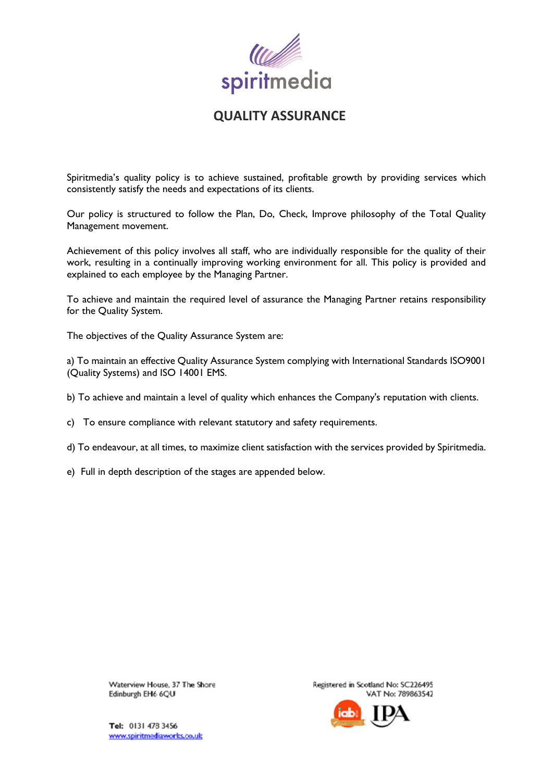

# **QUALITY ASSURANCE**

Spiritmedia's quality policy is to achieve sustained, profitable growth by providing services which consistently satisfy the needs and expectations of its clients.

Our policy is structured to follow the Plan, Do, Check, Improve philosophy of the Total Quality Management movement.

Achievement of this policy involves all staff, who are individually responsible for the quality of their work, resulting in a continually improving working environment for all. This policy is provided and explained to each employee by the Managing Partner.

To achieve and maintain the required level of assurance the Managing Partner retains responsibility for the Quality System.

The objectives of the Quality Assurance System are:

a) To maintain an effective Quality Assurance System complying with International Standards ISO9001 (Quality Systems) and ISO 14001 EMS.

- b) To achieve and maintain a level of quality which enhances the Company's reputation with clients.
- c) To ensure compliance with relevant statutory and safety requirements.
- d) To endeavour, at all times, to maximize client satisfaction with the services provided by Spiritmedia.
- e) Full in depth description of the stages are appended below.

Waterview House, 37 The Shore Edinburgh EH6 6QU

Registered in Scotland No: SC226495 VAT No: 789863542



Tel: 0131 478 3456 www.spiritmediaworks.co.uk